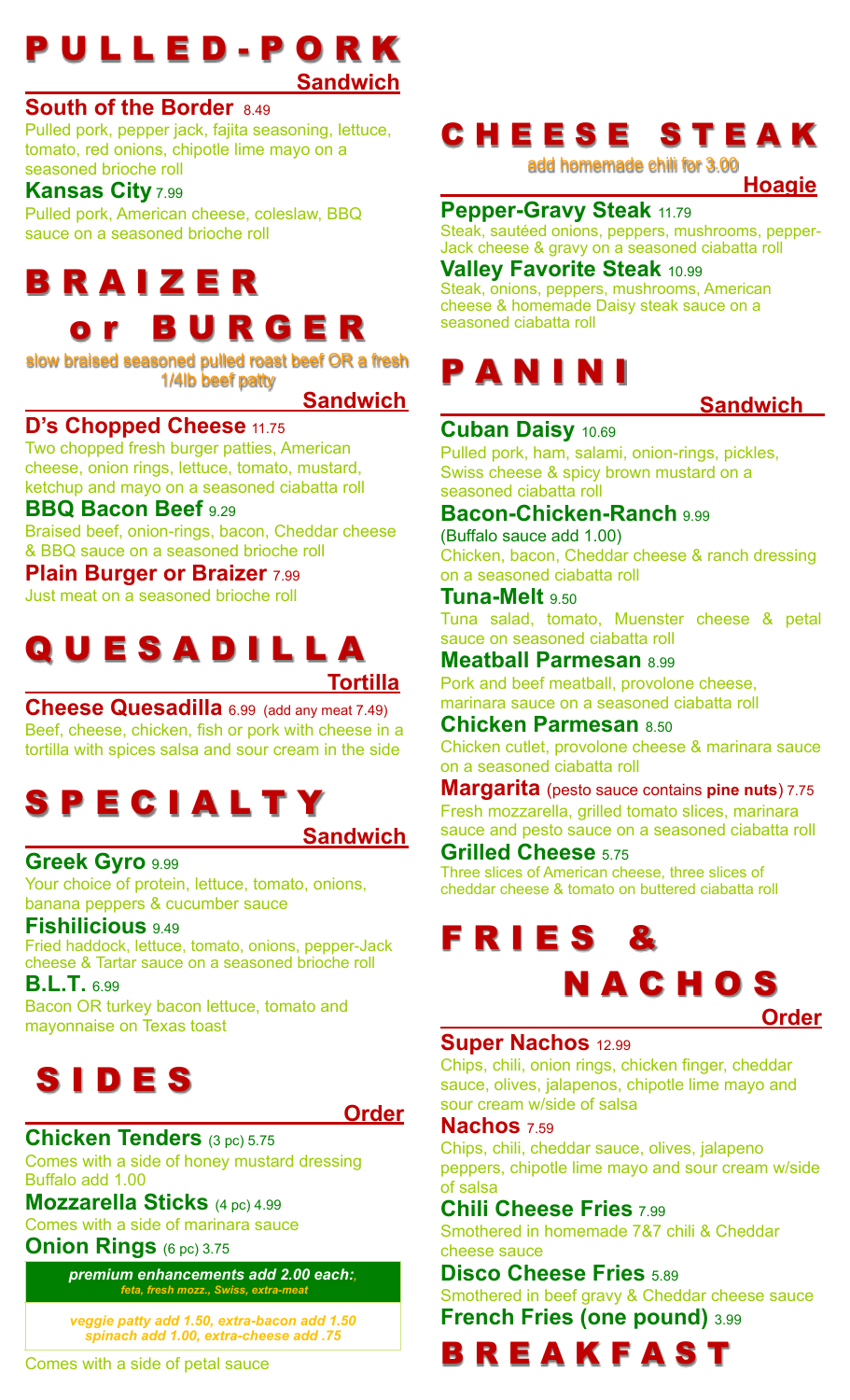### P U L L E D - P O R K  **Sandwich**

#### **South of the Border** 8.49

Pulled pork, pepper jack, fajita seasoning, lettuce, tomato, red onions, chipotle lime mayo on a seasoned brioche roll

#### **Kansas City** 7.99

Pulled pork, American cheese, coleslaw, BBQ sauce on a seasoned brioche roll

# B R A I Z E R

## **BURGER**

slow braised seasoned pulled roast beef OR a fresh 1/4lb beef patty

 **Sandwich** 

#### **D's Chopped Cheese** 11.75

Two chopped fresh burger patties, American cheese, onion rings, lettuce, tomato, mustard, ketchup and mayo on a seasoned ciabatta roll

#### **BBQ Bacon Beef** 9.29

Braised beef, onion-rings, bacon, Cheddar cheese & BBQ sauce on a seasoned brioche roll

**Plain Burger or Braizer** 7.99 Just meat on a seasoned brioche roll

### QUESADILLA  **Tortilla**

**Cheese Quesadilla** 6.99 (add any meat 7.49) Beef, cheese, chicken, fish or pork with cheese in a tortilla with spices salsa and sour cream in the side

### S P E C I A L T Y  **Sandwich**

#### **Greek Gyro** 9.99

Your choice of protein, lettuce, tomato, onions, banana peppers & cucumber sauce

#### **Fishilicious** 9.49

Fried haddock, lettuce, tomato, onions, pepper-Jack cheese & Tartar sauce on a seasoned brioche roll

**B.L.T.** 6.99

Bacon OR turkey bacon lettuce, tomato and mayonnaise on Texas toast



 **Order**

#### **Chicken Tenders** (3 pc) 5.75 Comes with a side of honey mustard dressing Buffalo add 1.00

**Mozzarella Sticks** (4 pc) 4.99

Comes with a side of marinara sauce

**Onion Rings** (6 pc) 3.75

*premium enhancements add 2.00 each:, feta, fresh mozz., Swiss, extra-meat*

*veggie patty add 1.50, extra-bacon add 1.50 spinach add 1.00, extra-cheese add .75*

## C H E E S E S T E A K

add homemade chili for 3.00

 **Hoagie**

#### **Pepper-Gravy Steak** 11.79

Steak, sautéed onions, peppers, mushrooms, pepper-Jack cheese & gravy on a seasoned ciabatta roll

#### **Valley Favorite Steak** 10.99

Steak, onions, peppers, mushrooms, American cheese & homemade Daisy steak sauce on a seasoned ciabatta roll

## P A N I N I

#### **Sandwich**

#### **Cuban Daisy** 10.69

Pulled pork, ham, salami, onion-rings, pickles, Swiss cheese & spicy brown mustard on a seasoned ciabatta roll

#### **Bacon-Chicken-Ranch** 9.99

(Buffalo sauce add 1.00) Chicken, bacon, Cheddar cheese & ranch dressing on a seasoned ciabatta roll

**Tuna-Melt** 9.50

Tuna salad, tomato, Muenster cheese & petal sauce on seasoned ciabatta roll

**Meatball Parmesan** 8.99

Pork and beef meatball, provolone cheese, marinara sauce on a seasoned ciabatta roll

#### **Chicken Parmesan** 8.50

Chicken cutlet, provolone cheese & marinara sauce on a seasoned ciabatta roll

**Margarita** (pesto sauce contains **pine nuts**) 7.75 Fresh mozzarella, grilled tomato slices, marinara sauce and pesto sauce on a seasoned ciabatta roll

#### **Grilled Cheese** 5.75

Three slices of American cheese, three slices of cheddar cheese & tomato on buttered ciabatta roll

# F R I E S &

# N A C H O S

 **Order**

#### **Super Nachos** 12.99

Chips, chili, onion rings, chicken finger, cheddar sauce, olives, jalapenos, chipotle lime mayo and sour cream w/side of salsa

#### **Nachos** 7.59

Chips, chili, cheddar sauce, olives, jalapeno peppers, chipotle lime mayo and sour cream w/side of salsa

#### **Chili Cheese Fries** 7.99

Smothered in homemade 7&7 chili & Cheddar cheese sauce

#### **Disco Cheese Fries** 5.89

Smothered in beef gravy & Cheddar cheese sauce **French Fries (one pound)** 3.99

B R E A K F A S T